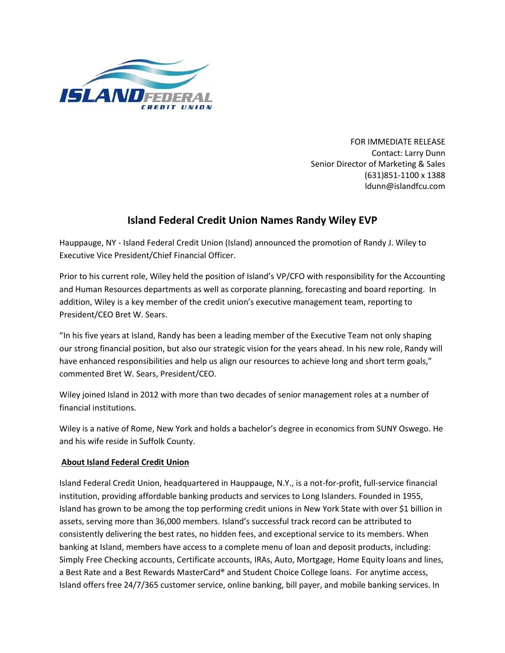

FOR IMMEDIATE RELEASE Contact: Larry Dunn Senior Director of Marketing & Sales (631)851-1100 x 1388 ldunn@islandfcu.com

## **Island Federal Credit Union Names Randy Wiley EVP**

Hauppauge, NY - Island Federal Credit Union (Island) announced the promotion of Randy J. Wiley to Executive Vice President/Chief Financial Officer.

Prior to his current role, Wiley held the position of Island's VP/CFO with responsibility for the Accounting and Human Resources departments as well as corporate planning, forecasting and board reporting. In addition, Wiley is a key member of the credit union's executive management team, reporting to President/CEO Bret W. Sears.

"In his five years at Island, Randy has been a leading member of the Executive Team not only shaping our strong financial position, but also our strategic vision for the years ahead. In his new role, Randy will have enhanced responsibilities and help us align our resources to achieve long and short term goals," commented Bret W. Sears, President/CEO.

Wiley joined Island in 2012 with more than two decades of senior management roles at a number of financial institutions.

Wiley is a native of Rome, New York and holds a bachelor's degree in economics from SUNY Oswego. He and his wife reside in Suffolk County.

## **About Island Federal Credit Union**

Island Federal Credit Union, headquartered in Hauppauge, N.Y., is a not-for-profit, full-service financial institution, providing affordable banking products and services to Long Islanders. Founded in 1955, Island has grown to be among the top performing credit unions in New York State with over \$1 billion in assets, serving more than 36,000 members. Island's successful track record can be attributed to consistently delivering the best rates, no hidden fees, and exceptional service to its members. When banking at Island, members have access to a complete menu of loan and deposit products, including: Simply Free Checking accounts, Certificate accounts, IRAs, Auto, Mortgage, Home Equity loans and lines, a Best Rate and a Best Rewards MasterCard® and Student Choice College loans. For anytime access, Island offers free 24/7/365 customer service, online banking, bill payer, and mobile banking services. In